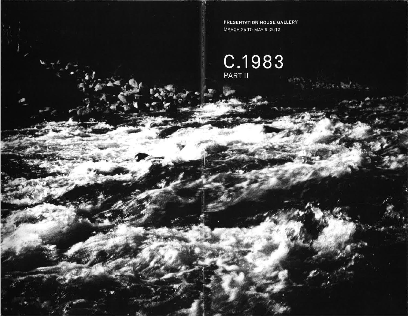PRESENTATION HOUSE GALLERY MARCH 24 TO MAY 6, 2012

# $C.1983$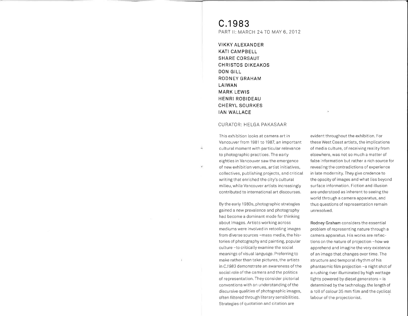c.1983 PART ll: MARCH 24 T0 MAY 6,2012

VIKKY ALEXANDER KATI CAMPBELL SHARE CORSAUT CH RISTOS DIKEAKOS DON GILL RODNEY GRAHAM LAIWAN MARK LEWIS HENRI ROBIDEAU CH ERYL SOURKES IAN WALLACE

### CU RATOR: HELGA PAKASAAR

ü.

This exhibition looks at camera art in Vancouverfrom 1981 to 1987, an important cutturat moment with particular relevance to photographic practices. The early eighties in Vancouver saw the emergence of new exhibition venues, artist initiatives, collectives, pubtishing projects, and critical writing that enriched the city's cuttural milieu, while Vancouver artists increasingly contributed to international art discourses.

By the early 1980s, photographic strategies gained a new prevatence and photography had become a dominant mode for thinking about images. Artists working across mediums were involved in retooling images from diverse sources -mass media, the histories of photography and painting, poputar culture -to critically examine the social meanings of visual language. Preferringto make rather than take pictures, the artists in C.1983 demonstrate an awareness of the social role of the camera and the politics of representation. They consider pictorial conventions with an understanding ofthe discursive quatities of photographic images, often filtered through literary sensibitities. Strategies of quotation and citation are

evident throughout the exhibition. For these West Coast artists, the imptications of media culture, of receiving reality from elsewhere, was not so much a matter of fatse information but rather a rich source for revealing the contradictions of experience in late modernity. They give credence to the opacity of images and what lies beyond surface information. Fiction and illusion are understood as inherent to seeing the world through a camera apparatus, and thus questions of representation remain unresotved.

Rodney Graham considers the essentiat problem of representing nature through a camera apparatus. His works are reflections on the nature of projection -how we apprehend and imagine the very existence of an image that changes over time. The structure and temporaI rhythm of his phantasmic film projection -a night shot of a rushing river illuminated by high wattage lights powered by diesel generators  $-$  is determined by the technology, the length of a roll of colour 35 mm film and the cyclical labour of the projectionist.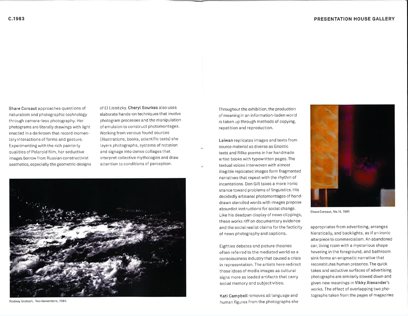Share Corsaut approaches questions of naturalism and photographic technology through camera-less photography. Her photograms are literally drawings with light enacted in a darkroom that record momentary interactions of forms and gesture. Experimenting with the rich painterly quatities of Potaroid fitm, her seductive images borrow from Russian constructivist aesthetics, especialty the geometric designs of Et Lissitzky. Cheryt Sourkes atso uses elaborate hands-on techniques that involve photogram processes and the manipulation of emulsion to construct photomontages. Working from various found sources (ittustrations, books, scientific texts) she layers photographs, systems of notation and signage into dense cotlages that interpret collective mythologies and draw attention to conditions of perception.



Rodney Graham, Two Generators, 1984

Throughout the exhibition, the production of meaning in an information-laden wortd is taken up through methods of copying, repetition and reproduction.

Laiwan replicates images and texts from source material as diverse as Gnostic texts and Ritke poems in her handmade artist books with typewritten pages.The textual voices interwoven with almost illegible replicated images form fragmented narratives that repeat with the rhythm of incantations. Don Gill takes a more ironic stance toward problems of linguistics. His decidedly artisanal photomontages of handdrawn stenciled words with images propose absurdist instructions for social change. Like his deadpan display of news clippings, these works riff on documentary evidence and the social realist claims for the facticity of news photography and captions.

Eighties debates and picture theqries often referred to the mediated wortd as a consciousness industry that caused a crisis in representation. The artists here redirect those ideas of media images as cultural signs more as loaded artifacts that carry social memory and subjectivities.

Kati Campbell removes all language and human figures from the photographs she



Share Corsaut, No.74, 1981

appropriates from advertising, arranges hieratically, and backlights, as if an ironic attarpiece to commercialism. An abandoned car, living room with a mysterious shape hovering in the foreground, and bathroom sink forms an enigmatic narrative that reconstitutes human presence.The quick takes and seductive surfaces of advertising photographs are simitarty slowed down and given new meanings in Vikky Alexander's works. The effect of overlapping two photographs taken from the pages of magazines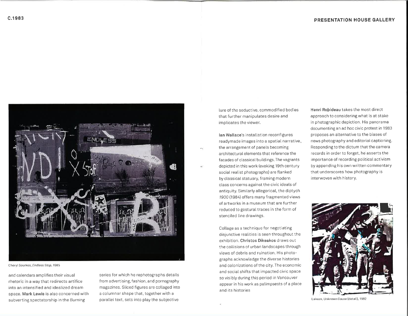

Cheryl Sourkes, Endless Stop, 1985

and calendars amptifies their visual rhetoric in a way that redirects artifice into an intensified and ideatized dream space. Mark Lewis is also concerned with subverting spectatorship in the Burning

series for which he rephotographs detaits from advertising, fashion, and pornography magazines. Sliced figures are collaged into a cotumnar shape that, together with a parallel text, sets into play the subjective

lure of the seductive, commodified bodies that further manipulates desire and implicates the viewer.

lan Wallace's instatlation reconfigures readymade images into a spatial narrative the arrangement of panels becoming architectural elements that reference the facades of classical buildings. The vagrants depicted in this work (evoking 1gth century social realist photographs) are flanked by classicaI statuary, framing modern class concerns against the civic ideals of antiquity. Similarly allegorical, the diptych 1900 (1984) offers many fragmented views of artworks in a museum that are further reduced to gesturaI traces in the form of stenciled line drawings.

Collage as a technique for negotiating disjunctive realities is seen throughout the exhibition. Christos Dikeakos draws out the collisions of urban landscapes through views of debris and ruination. His photographs acknowledge the diverse histories and colonizations of the city. The economic and socialshifts that impacted civic space so visibly during this period in Vancouver appear in his work as patimpsests of a place and its histories

Henri Robideau takes the most direct approach to considering what is at stake in photographic depiction. His panorama documenting an ad hoc civic protest in 1983 proposes an alternative to the biases of news photography and editorial captioning. Responding to the dictum that the camera records in order to forget, he asserts the importance of recording political activism by appending his own written commentary that underscores how photography is interwoven with history.



Laiwan, Unknown Cause (detail), 1982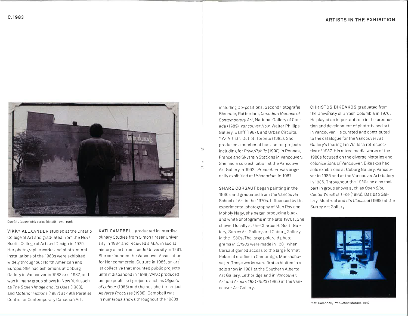

Don Gill, Xenophobia series (detail), 1980-1985

VIKKY ALEXANDER studied atthe Ontario College of Art and graduated from the Nova Scotia Cotlege of Art and Design in 1979. Her photographic works and photo-murat installations of the 1980s were exhibited widety throughout North American and Europe. She had exhibitions at Coburg Gallery in Vancouver in 1983 and 1987, and was in many group shows in New York such as fhe Stolen lmoge ond its Uses (1983), and Material Fictions (1987) at 49th Parallel Centre for Contemporary Canadian Art.

KATI CAMPBELL graduated in lnterdisciplinary Studies from Simon Fraser University in 1984 and received a M.A. in social history of art from Leeds University in 1991. She co-founded the Vancouver Association for Noncommercial Culture in 1986, an artist collective that mounted public projects until it disbanded in 1998. VANC produced unique pubtic art projects such as ObJects of Labour (1986) and the bus shelter project AdVerse Practises (1988). Campbell was in numerous shows throughout the 1980s

inctuding Op-positions, Second Fotografie Biennale, Rotterdam, Conodion Bienniol of Contemporary Art, National Gallery of Canada (1989), Vancouver Now, Walter Phillips Gallery, Banff (1987), and Urban Circuits, YYZ Artists' Outlet, Toronto (1985). She produced a number of bus shetter projects including for Prive/Public (1990) in Rennes, France and Skytrain Stations in Vancouver She had a solo exhibition at the Vancouver Art Gallery in 1992. Production was originally exhibitied at Urbanarium in 1987

ris

SHARE C0RSAUT began painting in the 1960s and graduated from the Vancouver School of Art in the 1970s. Influenced by the experimentat photography of Man Ray and Moholy Nagy, she began producing black and white photograms in the late 1970s. She showed locally at the Charles H. Scott Gallery, Surrey Art Gallery and Coburg Gallery in the 1980s. The large polaroid photograms in C.7983 were made in 1981 when Corsaut gained access to the targe format Polaroid studios in Cambridge, Massachusetts. These works were first exhibited in <sup>a</sup> solo show in 1981 at the Southern Alberta Art Gallery, Lethbridge and in Vancouver: Art and Artists 1931-1983 (1983) at the Vancouver Art Gallery.

CHRISTOS DIKEAKOS graduated from the University of British Columbia in 1970. He played an important role in the production and devetopment of photo-based art in Vancouver. He curated and contributed to the catalogue for the Vancouver Art Gallery's touring lan Wallace retrospective of 1987. His mixed media works of the 1980s focused on the diverse histories and colonizations of Vancouver. Dikeakos had solo exhibitions at Coburg Gatlery, Vancouver in 1985 and at the Vancouver Art Gallery in 1986. Throughout the 1980s he also took part in group shows such as Open Site, Center Which is Time (1986), Dazibao Gallery, Montreal and It's Classical (1988) at the Surrey Art Gallery.



Kati Campbetl, Production (detait), 1987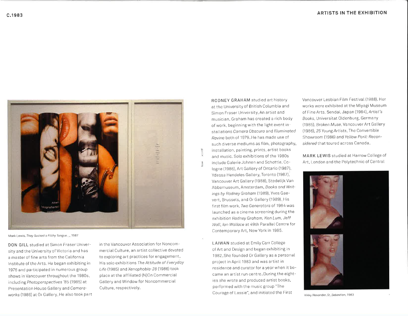

Mark Lewis. They Sucked a Filthy Tongue..., 1987

DON GILL studied at Simon Fraser University and the University of Victoria and has a master of fine arts from the California lnstitute of the Arts. He began exhibiting in 1976 and participated in numerous group shows in Vancouver throughout the 1980s, inctuding Photoperspectives '85 (1985) at Presentation House Gallery and Cameraworks (1986) at Or Gallery. He also took part view and the victor of the Courage of Lassie , and initiated the First vikky Alexander St. Sebostion, 1983 and the Vikky Alexander St. Sebostion, 1983

in the Vancouver Association for Noncom mercial Culture, an artist collective devoted to exploring art practices for engagement. His soto exhibitions The Attitude of Everydoy Life (1985) and Xenophobia-28 (1986) took place at the affiliated (N)On Commercial Gallery and Window for Noncommercial Culture, respectively.

RODNEY GRAHAM studied art history at the University of British Columbia and Simon Fraser University. An artist and musician, Graham has created a rich body of work, beginning with the tight event installations Camera Obscura and Illuminated Ravine both of 1979. He has made use of such diverse mediums as film, photography, installation, painting, prints, artist books and music. Solo exhibitions of the 1980s include Galerie Johnen and Schottle, Cologne (1986), Art Gallery of Ontario (1987), Ydessa Hendeles Gallery, Toronto (1987), Vancouver Art Gallery (1988), Stedetijk Van Abbemuseum, Amsterdam, Books ond Writings by Rodney Graham (1989), Yves Gaevert, Brussels, and Or Gallery (1989). His first film work, Two Generators of 1984 was launched as a cinema screening during the exhibition Rodney Graham, Ken Lum, Jeff Wall, Ian Wallace at 49th Parallel Centre for Contemporary Art, New York in 1985.

LAIWAN studied at Emily Carr College of Art and Design and began exhibiting in 1982. She founded Or Gallery as a personal project in Aprit '1983 and was artist in residence and curator for a year when it became an artist run centre. During the eighties she wrote and produced artist books, performed with the music group "The Courage of Lassie", and initiated the First

Vancouver Lesbian Film Festival (1988). Her works were exhibited at the Miyagi Museum of Fine Arts, Sendai, Japan (1984), Artist's Books, Universitat Oldenburg, Germany (1985), Broken Muse, Vancouver Art Gallery (1980), 25 YoungArtists, The Convertible Showroom (1986) and Yellow Peril: Reconsidered that toured across Canada.

MARK LEWIS studied at Harrow College of Art, London and the Polytechnic of Central

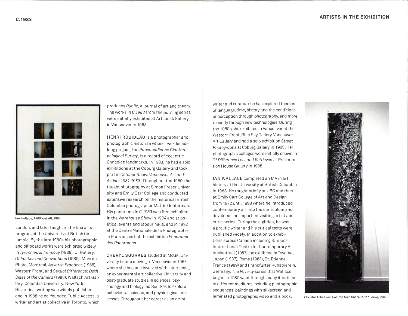lan Wallace, 1900 (detail), 1984

London, and later taught in the fine arts program at the University of British Columbia. By the late 1980s his photographic and billboard works were exhibited widely in Tyrannies of Intimacy (1989), Or Gallery, Of Politics and Conventions (1989), Mois de Photo, Montreal, Adverse Practices (1988), Western Front, and Sexual Difference: Both Sides of the Camera (1988), Wallach Art Gallery, Columbia University, New York. His critical writing was widely published and in 1988 he co-founded Public Access, a writer and artist collective in Toronto, which

produces Public, a journal of art and theory. The works in C.1983 from the Burning series were initially exhibited at Artspeak Gallery in Vancouver in 1988.

HENRI ROBIDEAU is a photographer and photographic historian whose two-decade long project, the Pancanadienne Gianthropological Survey, is a record of eccentric Canadian landmarks, In 1983, he had a solo exhibitions at the Coburg Gallery and took part in October Show, Vancouver Art and Artists 1931-1983. Throughout the 1980s he taught photography at Simon Fraser University and Emily Carr College and conducted extensive research on the historical British Columbia photographer Mattie Gunterman. His panorama in C.1983 was first exhibited in the Warehouse Show in 1984 and at political events and labour halls, and in 1992 at the Centre Nationale de la Photographie in Paris as part of the exhibition Panorama des Panoramas.

**CHERYL SOURKES** studied at McGill University before moving to Vancouver in 1967 where she became involved with Intermedia, an experimental art collective. University and post-graduate studies in sciences, psychology and biology led Sourkes to explore behavioural science, and physiological processes. Throughout her career as an artist,

writer and curator, she has explored themes of language, time, history and the conditions of perception through photography, and more recently through new technologies. During the 1980s she exhibited in Vancouver at the Western Front, Blue Sky Gallery, Vancouver Art Gallery and had a solo exhibition Street Photographs at Coburg Gallery in 1983. Her photographic collages were initially shown in Of Difference Lost and Retrieved at Presentation House Gallery in 1985.

IAN WALLACE completed an MA in art history at the University of British Columbia in 1968. He taught briefly at UBC and then at Emily Carr College of Art and Design from 1972 until 1998 where he introduced contemporary art into the curriculum and developed an important visiting artist and critic series. During the eighties, he was a prolific writer and his critical texts were published widely. In addition to exhibitions across Canada including Stations, International Centre for Contemporary Art in Montreal (1987), he exhibited in Toyama, Japan (1987), Rome (1988), St. Etienne, France (1989) and Frankfurter Kunstverein, Germany. The Poverty series that Wallace began in 1980 went through many iterations in different mediums including photographic sequences, paintings with silkscreen and laminated photographs, video and a book.



Christos Dikeakos, Column Ruin (installation view), 1987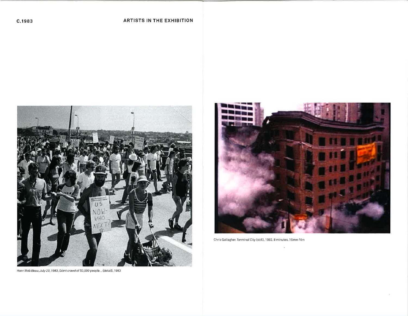

Henri Robideau, July 23, 1983, Giant crowd of 50,000 people... (detail), 1983



Chris Gallagher, Terminal City (still), 1982, 8 minutes, 16mm film

W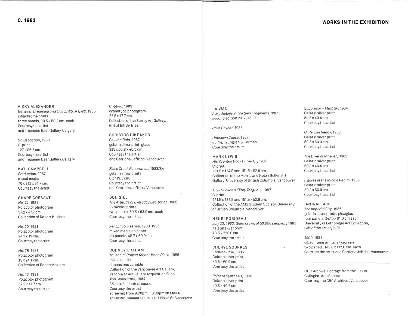VIKKY ALEXANDER Between Dreaming and Living, #5, #1, #2, 1985 cibachrome prints three panets, 39.5 x 58.2 cm. each Courtesy the artist and Trépanier Baer Gallery, Calgary

St. Sebastian, 1983 C-print 127 x 96.5 cm. Courtesythe artist and Trépanier Baer Gallery, Calgary

KATI CAMPBELL Production,1987 mixed media 76x212x24.7 cm. Courtesy the artist

SHARE CORSAUT No.14,1981 Polacolor photogram 57.2 x 47.7 cm. Collection of Robert Keziere

No.20, 1981 Potacolor photogram 24.1 x 19 cm. Courtesy the artist

No.28, 1981 Potacolor photogram 19 x 24.1 cm. Collection of Robert Keziere

No. 15, 1981 Polacolor photogram 57.2x47.7 cm. Courtesy the artist

Untitled, 1983 cyanotype photogram 22.5x17.7 cm. Collection of the Surrey Art Gallery. Gift of Bill Jeffries

CHRISTOS DIKEAKOS Column Ruin, 1987 gelatin silver print, glass 325 x 66.8 x 40.5 cm. Courtesy the artist and Catriona Jeffries, Vancouver

False Creek Panoramas, 1983/84 gelatin silver prints 6x 113.5cm. Courtesythe artist and Catriona Jeffries, Vancouver

DON GILL The Attitude of Everyday Life series, 1985 Ektacolor prints two panets, 50.5 x 63.0 cm. each Courtesy the artist

Xenophobio series, 1980-1985 mixed media on paper six panels, 45.7 x 60.9 cm Courtesy the artist

RODNEY GRAHAM Millenniol Project for on Urbon Plozo, 1986 mixed media dimensions variable Collection of the Vancouver Art Gallery, Vancouver Art Gatlery Acquisition Fund Two Generotors, 1984 35 mm. 4 minutes, sound courtesy the artist screened from 9:00pm -10:30pm on May 4 at Pacific Cinémathèque, 1131 Howe St, Vancouver LAIWAN A Mythology in Thirteen Frogments, 1985, second edition 2012, ed.20

Cove Coveot, 1985

Unknown Couse,1982, ed. 14, in Engtish & German Courtesythe artist

MARK LEWIS His Scented Body Burned..., 1987 C-print 151.5 x 124.5 and 151.5 x 52.8 cm. Collection of the Morris and Helen Belkin Art Gallery, University of British Columbia, Vancouver

They Sucked a Filthy Tongue..., 1987 C-print 151.5 x 124.5 and 151.5 x 52.8 cm. Collection of the AMS Student Society, University of British Columbia, Vancouver

HENRI ROBIDEAU Juty 23, 1983, Giont crowd of 50,000 people..., 1983 gelatin silver print 43.5 x 228.0 cm. Courtesy the artist

CHERYL SOURKES Endless Stop, 1985 Gelatin silver print 50.8 x 60.9 cm Courtesy the artist

Point of Synthesis, 1985 Gelatin silver print 50.8 x 40.6 cm Courtesy the artist

Suppresor - Mutotor, 1984 Gelatin silver print 50.8 x 40.6 cm Courtesy the artist

U: Person Reody,1985 Gelatin silver print 50.8 x 60.9 cm Courtesythe artist

The Diver of Nineveh, 1983 Gelatin silver print 50.8 x 40.6 cm Courtesy the artist

Figures of the Middle Reolm, 1985 Gelatin silver print 50.8 x 60.9 cm Courtesythe artist

IAN WALLACE The lmperiol City, 1986 gelatin sitver prints, ptexigtas four panets, 247.0 x 61.0 cm each

University of Lethbridge Art Cotlection, Gift of the artist, 1991

1900,1984 cibachrome prints, sitkscreen two panels, 142.0 x 112.0 cm. each Courtesy the artist and Catriona Jeffries, Vancouver

CBC Archival Footage from the 1980s Collagist: Anu Sahota Courtesy the CBC Archives, Vancouver